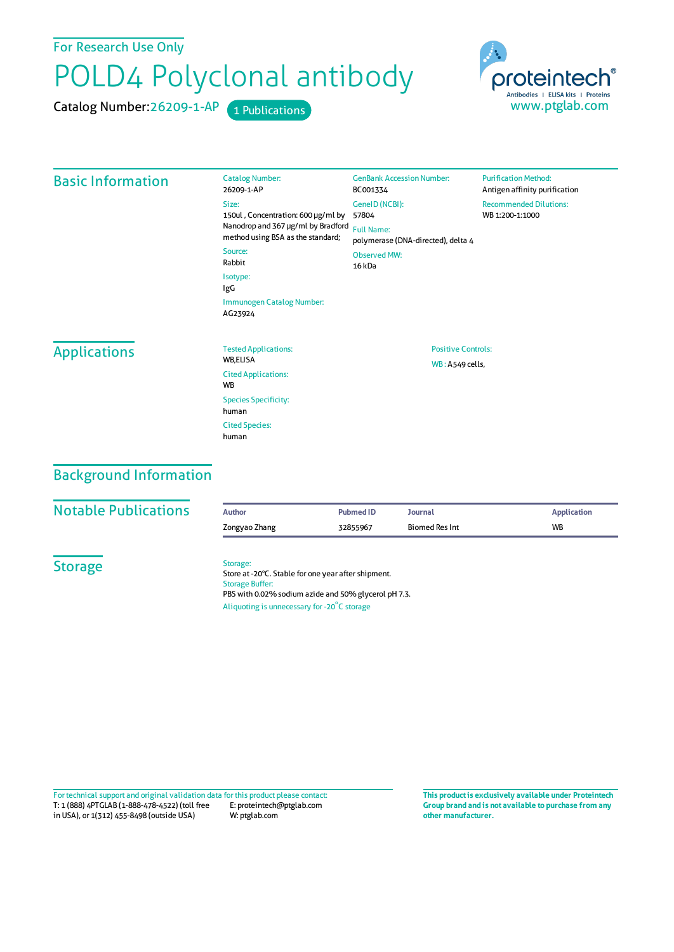For Research Use Only

## POLD4 Polyclonal antibody

Catalog Number: 26209-1-AP 1 Publications



| <b>Basic Information</b> | <b>Catalog Number:</b><br>26209-1-AP                                                                                                        | <b>GenBank Accession Number:</b><br>BC001334            | <b>Purification Method:</b><br>Antigen affinity purification |  |
|--------------------------|---------------------------------------------------------------------------------------------------------------------------------------------|---------------------------------------------------------|--------------------------------------------------------------|--|
|                          | Size:<br>150ul, Concentration: 600 µg/ml by<br>Nanodrop and 367 µg/ml by Bradford<br>method using BSA as the standard;<br>Source:<br>Rabbit | GeneID (NCBI):<br>57804                                 | <b>Recommended Dilutions:</b><br>WB 1:200-1:1000             |  |
|                          |                                                                                                                                             | <b>Full Name:</b><br>polymerase (DNA-directed), delta 4 |                                                              |  |
|                          |                                                                                                                                             | <b>Observed MW:</b><br>16 <sub>kDa</sub>                |                                                              |  |
|                          | Isotype:<br>IgG                                                                                                                             |                                                         |                                                              |  |
|                          | Immunogen Catalog Number:<br>AG23924                                                                                                        |                                                         |                                                              |  |
| <b>Applications</b>      | <b>Tested Applications:</b><br>WB,ELISA                                                                                                     | <b>Positive Controls:</b>                               |                                                              |  |
|                          | <b>Cited Applications:</b><br><b>WB</b>                                                                                                     | WB: A549 cells,                                         |                                                              |  |
|                          | <b>Species Specificity:</b><br>human                                                                                                        |                                                         |                                                              |  |
|                          | <b>Cited Species:</b><br>human                                                                                                              |                                                         |                                                              |  |

## Background Information

| <b>Notable Publications</b> | <b>Author</b>                                                                     | <b>Pubmed ID</b>                                                                                            | <b>Journal</b> | <b>Application</b> |
|-----------------------------|-----------------------------------------------------------------------------------|-------------------------------------------------------------------------------------------------------------|----------------|--------------------|
|                             | Zongyao Zhang                                                                     | 32855967                                                                                                    | Biomed Res Int | <b>WB</b>          |
| <b>Storage</b>              | Storage:<br><b>Storage Buffer:</b><br>Aliquoting is unnecessary for -20°C storage | Store at -20°C. Stable for one year after shipment.<br>PBS with 0.02% sodium azide and 50% glycerol pH 7.3. |                |                    |

T: 1 (888) 4PTGLAB (1-888-478-4522) (toll free in USA), or 1(312) 455-8498 (outside USA) E: proteintech@ptglab.com W: ptglab.com Fortechnical support and original validation data forthis product please contact: **This productis exclusively available under Proteintech**

**Group brand and is not available to purchase from any other manufacturer.**